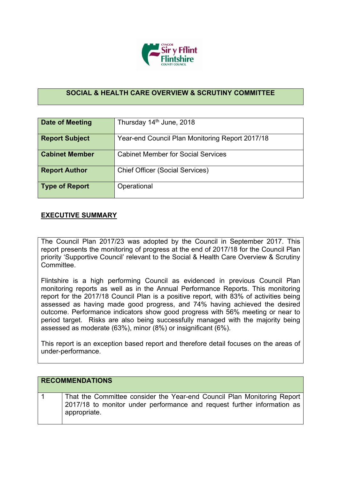

## **SOCIAL & HEALTH CARE OVERVIEW & SCRUTINY COMMITTEE**

| Date of Meeting       | Thursday 14th June, 2018                        |  |  |  |  |  |
|-----------------------|-------------------------------------------------|--|--|--|--|--|
| <b>Report Subject</b> | Year-end Council Plan Monitoring Report 2017/18 |  |  |  |  |  |
| <b>Cabinet Member</b> | <b>Cabinet Member for Social Services</b>       |  |  |  |  |  |
| <b>Report Author</b>  | <b>Chief Officer (Social Services)</b>          |  |  |  |  |  |
| Type of Report        | Operational                                     |  |  |  |  |  |

## **EXECUTIVE SUMMARY**

The Council Plan 2017/23 was adopted by the Council in September 2017. This report presents the monitoring of progress at the end of 2017/18 for the Council Plan priority 'Supportive Council' relevant to the Social & Health Care Overview & Scrutiny Committee.

Flintshire is a high performing Council as evidenced in previous Council Plan monitoring reports as well as in the Annual Performance Reports. This monitoring report for the 2017/18 Council Plan is a positive report, with 83% of activities being assessed as having made good progress, and 74% having achieved the desired outcome. Performance indicators show good progress with 56% meeting or near to period target. Risks are also being successfully managed with the majority being assessed as moderate (63%), minor (8%) or insignificant (6%).

This report is an exception based report and therefore detail focuses on the areas of under-performance.

| <b>RECOMMENDATIONS</b>                                                                                                                             |
|----------------------------------------------------------------------------------------------------------------------------------------------------|
| That the Committee consider the Year-end Council Plan Monitoring Report<br>2017/18 to monitor under performance and request further information as |
| appropriate.                                                                                                                                       |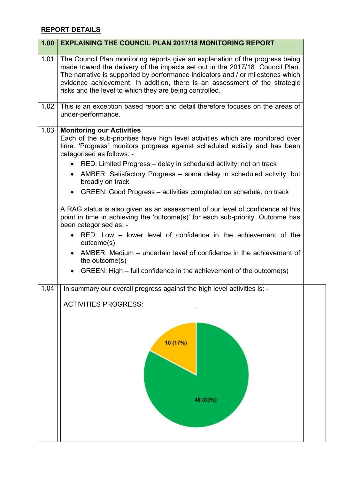## **REPORT DETAILS**

| <b>EXPLAINING THE COUNCIL PLAN 2017/18 MONITORING REPORT</b>                                                                                                                                                                                                                                                                                                                                     |  |  |  |  |
|--------------------------------------------------------------------------------------------------------------------------------------------------------------------------------------------------------------------------------------------------------------------------------------------------------------------------------------------------------------------------------------------------|--|--|--|--|
| 1.01<br>The Council Plan monitoring reports give an explanation of the progress being<br>made toward the delivery of the impacts set out in the 2017/18 Council Plan.<br>The narrative is supported by performance indicators and / or milestones which<br>evidence achievement. In addition, there is an assessment of the strategic<br>risks and the level to which they are being controlled. |  |  |  |  |
| This is an exception based report and detail therefore focuses on the areas of<br>under-performance.                                                                                                                                                                                                                                                                                             |  |  |  |  |
| <b>Monitoring our Activities</b><br>1.03<br>Each of the sub-priorities have high level activities which are monitored over<br>time. 'Progress' monitors progress against scheduled activity and has been<br>categorised as follows: -                                                                                                                                                            |  |  |  |  |
| RED: Limited Progress – delay in scheduled activity; not on track<br>AMBER: Satisfactory Progress - some delay in scheduled activity, but<br>$\bullet$<br>broadly on track                                                                                                                                                                                                                       |  |  |  |  |
| GREEN: Good Progress – activities completed on schedule, on track<br>$\bullet$                                                                                                                                                                                                                                                                                                                   |  |  |  |  |
| A RAG status is also given as an assessment of our level of confidence at this<br>point in time in achieving the 'outcome(s)' for each sub-priority. Outcome has<br>been categorised as: -<br>RED: Low – lower level of confidence in the achievement of the<br>outcome(s)                                                                                                                       |  |  |  |  |
| AMBER: Medium - uncertain level of confidence in the achievement of<br>the outcome(s)<br>GREEN: High – full confidence in the achievement of the outcome(s)<br>$\bullet$                                                                                                                                                                                                                         |  |  |  |  |
| In summary our overall progress against the high level activities is: -                                                                                                                                                                                                                                                                                                                          |  |  |  |  |
| <b>ACTIVITIES PROGRESS:</b>                                                                                                                                                                                                                                                                                                                                                                      |  |  |  |  |
| 10 (17%)<br>48 (83%)                                                                                                                                                                                                                                                                                                                                                                             |  |  |  |  |
|                                                                                                                                                                                                                                                                                                                                                                                                  |  |  |  |  |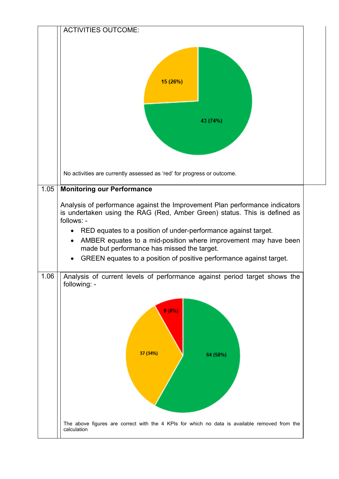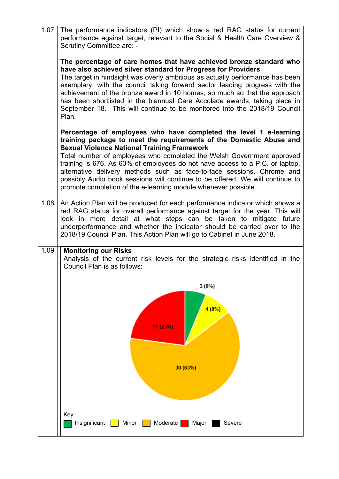| 1.07 | The performance indicators (PI) which show a red RAG status for current<br>performance against target, relevant to the Social & Health Care Overview &<br><b>Scrutiny Committee are: -</b>                                                                                                                                                                                                                                                                                                                                                                                           |
|------|--------------------------------------------------------------------------------------------------------------------------------------------------------------------------------------------------------------------------------------------------------------------------------------------------------------------------------------------------------------------------------------------------------------------------------------------------------------------------------------------------------------------------------------------------------------------------------------|
|      | The percentage of care homes that have achieved bronze standard who<br>have also achieved silver standard for Progress for Providers<br>The target in hindsight was overly ambitious as actually performance has been<br>exemplary, with the council taking forward sector leading progress with the<br>achievement of the bronze award in 10 homes, so much so that the approach<br>has been shortlisted in the biannual Care Accolade awards, taking place in<br>September 18. This will continue to be monitored into the 2018/19 Council<br>Plan.                                |
|      | Percentage of employees who have completed the level 1 e-learning<br>training package to meet the requirements of the Domestic Abuse and<br><b>Sexual Violence National Training Framework</b><br>Total number of employees who completed the Welsh Government approved<br>training is 676. As 60% of employees do not have access to a P.C. or laptop,<br>alternative delivery methods such as face-to-face sessions, Chrome and<br>possibly Audio book sessions will continue to be offered. We will continue to<br>promote completion of the e-learning module whenever possible. |
| 1.08 | An Action Plan will be produced for each performance indicator which shows a<br>red RAG status for overall performance against target for the year. This will<br>look in more detail at what steps can be taken to mitigate future<br>underperformance and whether the indicator should be carried over to the<br>2018/19 Council Plan. This Action Plan will go to Cabinet in June 2018.                                                                                                                                                                                            |
| 1.09 | <b>Monitoring our Risks</b><br>Analysis of the current risk levels for the strategic risks identified in the<br>Council Plan is as follows:                                                                                                                                                                                                                                                                                                                                                                                                                                          |
|      | 3(6%)<br>4(8%)<br>11 (23%)<br>30 (63%)                                                                                                                                                                                                                                                                                                                                                                                                                                                                                                                                               |
|      | Key:<br>Insignificant<br>Minor<br>Moderate<br>Major<br>Severe                                                                                                                                                                                                                                                                                                                                                                                                                                                                                                                        |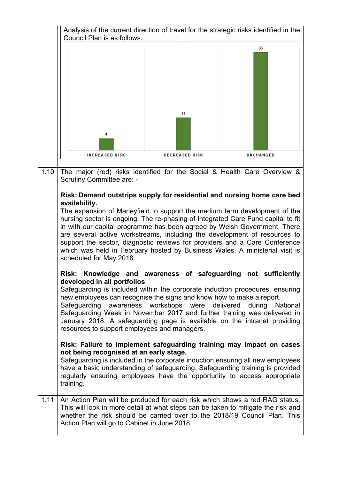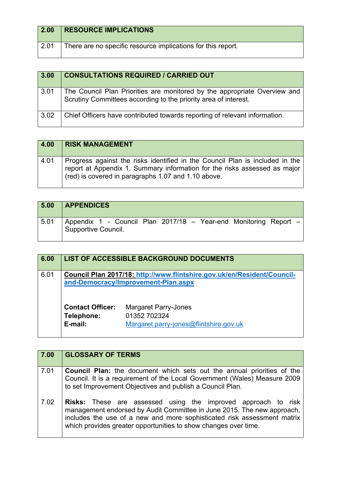| $\vert 2.00 \vert$ | <b>RESOURCE IMPLICATIONS</b>                                 |
|--------------------|--------------------------------------------------------------|
| $^{\circ}$ 2.01    | There are no specific resource implications for this report. |

| 3.00 | <b>CONSULTATIONS REQUIRED / CARRIED OUT</b>                                                                                                  |
|------|----------------------------------------------------------------------------------------------------------------------------------------------|
| 3.01 | The Council Plan Priorities are monitored by the appropriate Overview and<br>Scrutiny Committees according to the priority area of interest. |
| 3.02 | Chief Officers have contributed towards reporting of relevant information.                                                                   |

| 4.00 | <b>RISK MANAGEMENT</b>                                                                                                                                                                                           |
|------|------------------------------------------------------------------------------------------------------------------------------------------------------------------------------------------------------------------|
| 4.01 | Progress against the risks identified in the Council Plan is included in the<br>report at Appendix 1. Summary information for the risks assessed as major<br>(red) is covered in paragraphs 1.07 and 1.10 above. |

| 5.00 | <b>APPENDICES</b>                                                                       |
|------|-----------------------------------------------------------------------------------------|
| 5.01 | Appendix 1 - Council Plan 2017/18 - Year-end Monitoring Report -<br>Supportive Council. |

| 6.00 |                                                  | <b>LIST OF ACCESSIBLE BACKGROUND DOCUMENTS</b>                                        |
|------|--------------------------------------------------|---------------------------------------------------------------------------------------|
| 6.01 |                                                  | Council Plan 2017/18: http://www.flintshire.gov.uk/en/Resident/Council-               |
|      |                                                  | and-Democracy/Improvement-Plan.aspx                                                   |
|      | <b>Contact Officer:</b><br>Telephone:<br>E-mail: | <b>Margaret Parry-Jones</b><br>01352 702324<br>Margaret.parry-jones@flintshire.gov.uk |

| 7.00 | <b>GLOSSARY OF TERMS</b>                                                                                                                                                                                                                                                                     |  |  |  |  |  |
|------|----------------------------------------------------------------------------------------------------------------------------------------------------------------------------------------------------------------------------------------------------------------------------------------------|--|--|--|--|--|
| 7.01 | <b>Council Plan:</b> the document which sets out the annual priorities of the<br>Council. It is a requirement of the Local Government (Wales) Measure 2009<br>to set Improvement Objectives and publish a Council Plan.                                                                      |  |  |  |  |  |
| 7.02 | <b>Risks:</b> These are assessed using the improved approach to risk<br>management endorsed by Audit Committee in June 2015. The new approach,<br>includes the use of a new and more sophisticated risk assessment matrix<br>which provides greater opportunities to show changes over time. |  |  |  |  |  |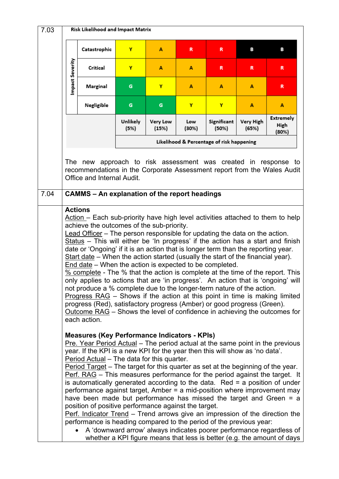| 7.03 | Risk Likelihood and Impact Matrix                                                                                                                                                                                                                                                                                                                                                                                                                                                                                                                                                                                                                                                                                                                                                                                                                                                                                                                                                                                                                                                                                              |                                                                                                                                                                                                                                                                                                                                                                                                                                                                                                                                                                                                                                                                                                                                                                                                                                                                                                         |                  |                          |              |                      |                    |                                                                                                                                                 |
|------|--------------------------------------------------------------------------------------------------------------------------------------------------------------------------------------------------------------------------------------------------------------------------------------------------------------------------------------------------------------------------------------------------------------------------------------------------------------------------------------------------------------------------------------------------------------------------------------------------------------------------------------------------------------------------------------------------------------------------------------------------------------------------------------------------------------------------------------------------------------------------------------------------------------------------------------------------------------------------------------------------------------------------------------------------------------------------------------------------------------------------------|---------------------------------------------------------------------------------------------------------------------------------------------------------------------------------------------------------------------------------------------------------------------------------------------------------------------------------------------------------------------------------------------------------------------------------------------------------------------------------------------------------------------------------------------------------------------------------------------------------------------------------------------------------------------------------------------------------------------------------------------------------------------------------------------------------------------------------------------------------------------------------------------------------|------------------|--------------------------|--------------|----------------------|--------------------|-------------------------------------------------------------------------------------------------------------------------------------------------|
|      |                                                                                                                                                                                                                                                                                                                                                                                                                                                                                                                                                                                                                                                                                                                                                                                                                                                                                                                                                                                                                                                                                                                                | Catastrophic                                                                                                                                                                                                                                                                                                                                                                                                                                                                                                                                                                                                                                                                                                                                                                                                                                                                                            | Y                | A                        | R            | R                    | в                  | в                                                                                                                                               |
|      | Impact Severity                                                                                                                                                                                                                                                                                                                                                                                                                                                                                                                                                                                                                                                                                                                                                                                                                                                                                                                                                                                                                                                                                                                | Critical                                                                                                                                                                                                                                                                                                                                                                                                                                                                                                                                                                                                                                                                                                                                                                                                                                                                                                | Y                | А                        | A            | R.                   | R                  | R.                                                                                                                                              |
|      |                                                                                                                                                                                                                                                                                                                                                                                                                                                                                                                                                                                                                                                                                                                                                                                                                                                                                                                                                                                                                                                                                                                                | Marginal                                                                                                                                                                                                                                                                                                                                                                                                                                                                                                                                                                                                                                                                                                                                                                                                                                                                                                | G                | Y                        | A            | A                    | А                  | R                                                                                                                                               |
|      |                                                                                                                                                                                                                                                                                                                                                                                                                                                                                                                                                                                                                                                                                                                                                                                                                                                                                                                                                                                                                                                                                                                                | Negligible                                                                                                                                                                                                                                                                                                                                                                                                                                                                                                                                                                                                                                                                                                                                                                                                                                                                                              | G                | G                        | Y            | Y                    | A                  | A                                                                                                                                               |
|      |                                                                                                                                                                                                                                                                                                                                                                                                                                                                                                                                                                                                                                                                                                                                                                                                                                                                                                                                                                                                                                                                                                                                |                                                                                                                                                                                                                                                                                                                                                                                                                                                                                                                                                                                                                                                                                                                                                                                                                                                                                                         | Unlikely<br>(5%) | <b>Very Low</b><br>(15%) | Low<br>(30%) | Significant<br>(50%) | Very High<br>(65%) | <b>Extremely</b><br>High<br>(80%)                                                                                                               |
|      | Likelihood & Percentage of risk happening                                                                                                                                                                                                                                                                                                                                                                                                                                                                                                                                                                                                                                                                                                                                                                                                                                                                                                                                                                                                                                                                                      |                                                                                                                                                                                                                                                                                                                                                                                                                                                                                                                                                                                                                                                                                                                                                                                                                                                                                                         |                  |                          |              |                      |                    |                                                                                                                                                 |
| 7.04 | Office and Internal Audit.<br><b>CAMMS - An explanation of the report headings</b><br><b>Actions</b><br>Action – Each sub-priority have high level activities attached to them to help<br>achieve the outcomes of the sub-priority.<br>Lead Officer - The person responsible for updating the data on the action.<br>Status - This will either be 'In progress' if the action has a start and finish<br>date or 'Ongoing' if it is an action that is longer term than the reporting year.<br>Start date - When the action started (usually the start of the financial year).<br>End date – When the action is expected to be completed.<br>% complete - The % that the action is complete at the time of the report. This<br>only applies to actions that are 'in progress'. An action that is 'ongoing' will<br>not produce a % complete due to the longer-term nature of the action.<br>Progress $RAG$ – Shows if the action at this point in time is making limited<br>progress (Red), satisfactory progress (Amber) or good progress (Green).<br>Outcome RAG - Shows the level of confidence in achieving the outcomes for |                                                                                                                                                                                                                                                                                                                                                                                                                                                                                                                                                                                                                                                                                                                                                                                                                                                                                                         |                  |                          |              |                      |                    |                                                                                                                                                 |
|      |                                                                                                                                                                                                                                                                                                                                                                                                                                                                                                                                                                                                                                                                                                                                                                                                                                                                                                                                                                                                                                                                                                                                | each action.<br><b>Measures (Key Performance Indicators - KPIs)</b><br>Pre. Year Period Actual - The period actual at the same point in the previous<br>year. If the KPI is a new KPI for the year then this will show as 'no data'.<br>Period Actual – The data for this quarter.<br>Period Target – The target for this quarter as set at the beginning of the year.<br>Perf. RAG – This measures performance for the period against the target. It<br>is automatically generated according to the data. Red $=$ a position of under<br>performance against target, Amber = a mid-position where improvement may<br>have been made but performance has missed the target and Green = a<br>position of positive performance against the target.<br>Perf. Indicator Trend – Trend arrows give an impression of the direction the<br>performance is heading compared to the period of the previous year: |                  |                          |              |                      |                    | A 'downward arrow' always indicates poorer performance regardless of<br>whether a KPI figure means that less is better (e.g. the amount of days |